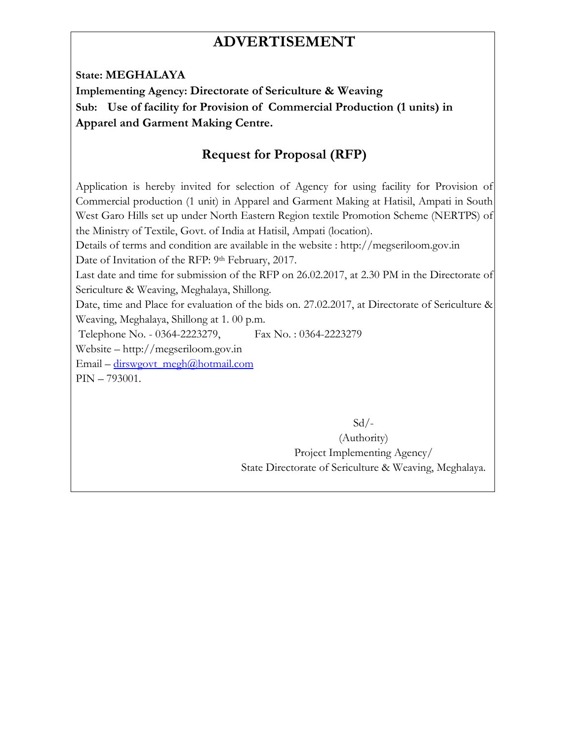# **ADVERTISEMENT**

**State: MEGHALAYA** 

**Implementing Agency: Directorate of Sericulture & Weaving Sub: Use of facility for Provision of Commercial Production (1 units) in Apparel and Garment Making Centre.** 

## **Request for Proposal (RFP)**

Application is hereby invited for selection of Agency for using facility for Provision of Commercial production (1 unit) in Apparel and Garment Making at Hatisil, Ampati in South West Garo Hills set up under North Eastern Region textile Promotion Scheme (NERTPS) of the Ministry of Textile, Govt. of India at Hatisil, Ampati (location).

Details of terms and condition are available in the website : http://megseriloom.gov.in Date of Invitation of the RFP: 9th February, 2017.

Last date and time for submission of the RFP on 26.02.2017, at 2.30 PM in the Directorate of Sericulture & Weaving, Meghalaya, Shillong.

Date, time and Place for evaluation of the bids on. 27.02.2017, at Directorate of Sericulture & Weaving, Meghalaya, Shillong at 1. 00 p.m.

Telephone No. - 0364-2223279, Fax No. : 0364-2223279

Website – http://megseriloom.gov.in

Email – dirswgovt\_megh@hotmail.com

PIN – 793001.

 $Sd$  /-

(Authority) Project Implementing Agency/ State Directorate of Sericulture & Weaving, Meghalaya.